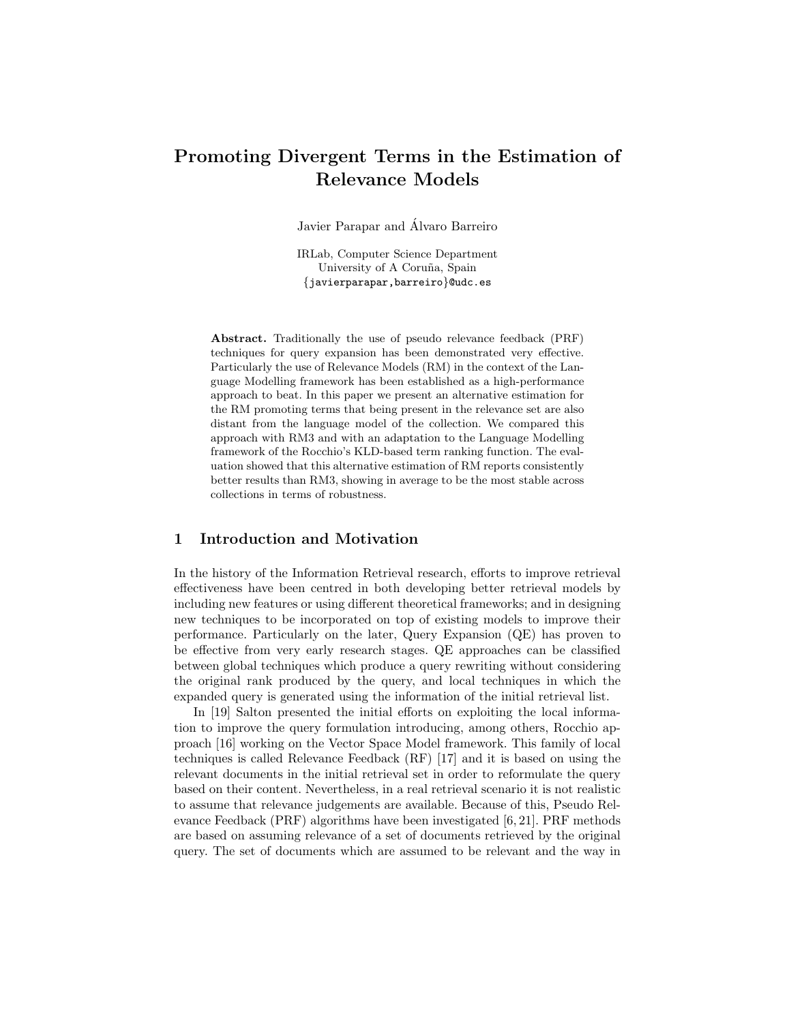# Promoting Divergent Terms in the Estimation of Relevance Models

Javier Parapar and Alvaro Barreiro ´

IRLab, Computer Science Department University of A Coruña, Spain {javierparapar,barreiro}@udc.es

Abstract. Traditionally the use of pseudo relevance feedback (PRF) techniques for query expansion has been demonstrated very effective. Particularly the use of Relevance Models (RM) in the context of the Language Modelling framework has been established as a high-performance approach to beat. In this paper we present an alternative estimation for the RM promoting terms that being present in the relevance set are also distant from the language model of the collection. We compared this approach with RM3 and with an adaptation to the Language Modelling framework of the Rocchio's KLD-based term ranking function. The evaluation showed that this alternative estimation of RM reports consistently better results than RM3, showing in average to be the most stable across collections in terms of robustness.

# 1 Introduction and Motivation

In the history of the Information Retrieval research, efforts to improve retrieval effectiveness have been centred in both developing better retrieval models by including new features or using different theoretical frameworks; and in designing new techniques to be incorporated on top of existing models to improve their performance. Particularly on the later, Query Expansion (QE) has proven to be effective from very early research stages. QE approaches can be classified between global techniques which produce a query rewriting without considering the original rank produced by the query, and local techniques in which the expanded query is generated using the information of the initial retrieval list.

In [19] Salton presented the initial efforts on exploiting the local information to improve the query formulation introducing, among others, Rocchio approach [16] working on the Vector Space Model framework. This family of local techniques is called Relevance Feedback (RF) [17] and it is based on using the relevant documents in the initial retrieval set in order to reformulate the query based on their content. Nevertheless, in a real retrieval scenario it is not realistic to assume that relevance judgements are available. Because of this, Pseudo Relevance Feedback (PRF) algorithms have been investigated [6, 21]. PRF methods are based on assuming relevance of a set of documents retrieved by the original query. The set of documents which are assumed to be relevant and the way in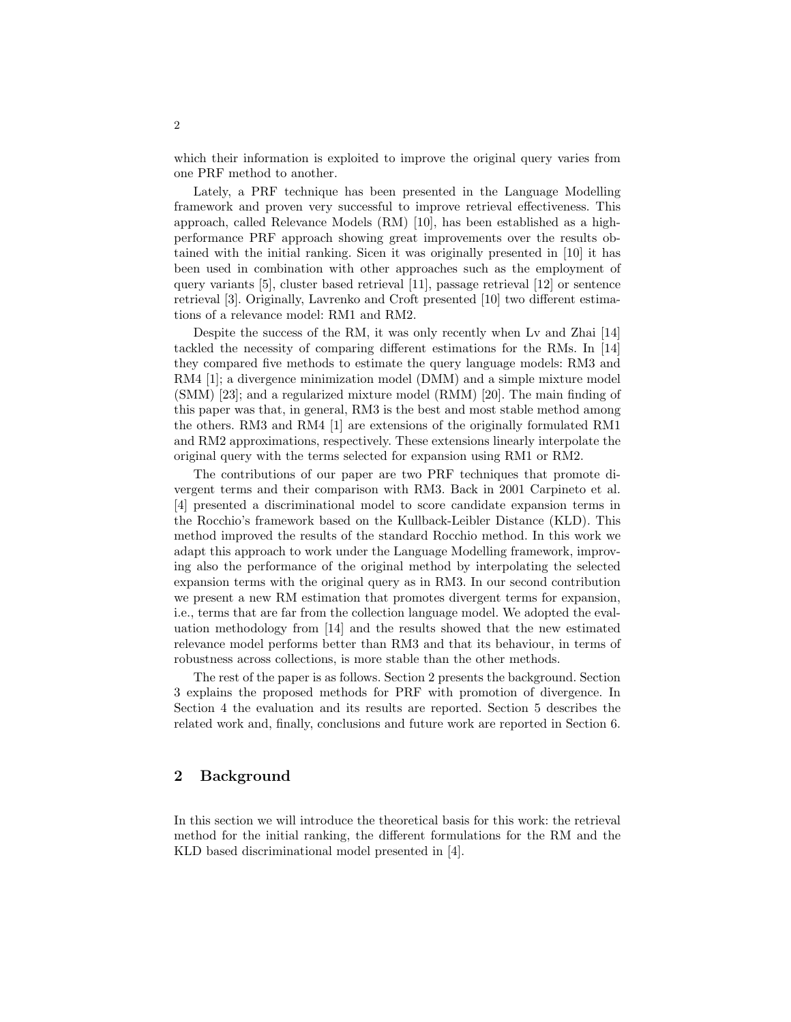which their information is exploited to improve the original query varies from one PRF method to another.

Lately, a PRF technique has been presented in the Language Modelling framework and proven very successful to improve retrieval effectiveness. This approach, called Relevance Models (RM) [10], has been established as a highperformance PRF approach showing great improvements over the results obtained with the initial ranking. Sicen it was originally presented in [10] it has been used in combination with other approaches such as the employment of query variants [5], cluster based retrieval [11], passage retrieval [12] or sentence retrieval [3]. Originally, Lavrenko and Croft presented [10] two different estimations of a relevance model: RM1 and RM2.

Despite the success of the RM, it was only recently when Lv and Zhai [14] tackled the necessity of comparing different estimations for the RMs. In [14] they compared five methods to estimate the query language models: RM3 and RM4 [1]; a divergence minimization model (DMM) and a simple mixture model (SMM) [23]; and a regularized mixture model (RMM) [20]. The main finding of this paper was that, in general, RM3 is the best and most stable method among the others. RM3 and RM4 [1] are extensions of the originally formulated RM1 and RM2 approximations, respectively. These extensions linearly interpolate the original query with the terms selected for expansion using RM1 or RM2.

The contributions of our paper are two PRF techniques that promote divergent terms and their comparison with RM3. Back in 2001 Carpineto et al. [4] presented a discriminational model to score candidate expansion terms in the Rocchio's framework based on the Kullback-Leibler Distance (KLD). This method improved the results of the standard Rocchio method. In this work we adapt this approach to work under the Language Modelling framework, improving also the performance of the original method by interpolating the selected expansion terms with the original query as in RM3. In our second contribution we present a new RM estimation that promotes divergent terms for expansion, i.e., terms that are far from the collection language model. We adopted the evaluation methodology from [14] and the results showed that the new estimated relevance model performs better than RM3 and that its behaviour, in terms of robustness across collections, is more stable than the other methods.

The rest of the paper is as follows. Section 2 presents the background. Section 3 explains the proposed methods for PRF with promotion of divergence. In Section 4 the evaluation and its results are reported. Section 5 describes the related work and, finally, conclusions and future work are reported in Section 6.

# 2 Background

In this section we will introduce the theoretical basis for this work: the retrieval method for the initial ranking, the different formulations for the RM and the KLD based discriminational model presented in [4].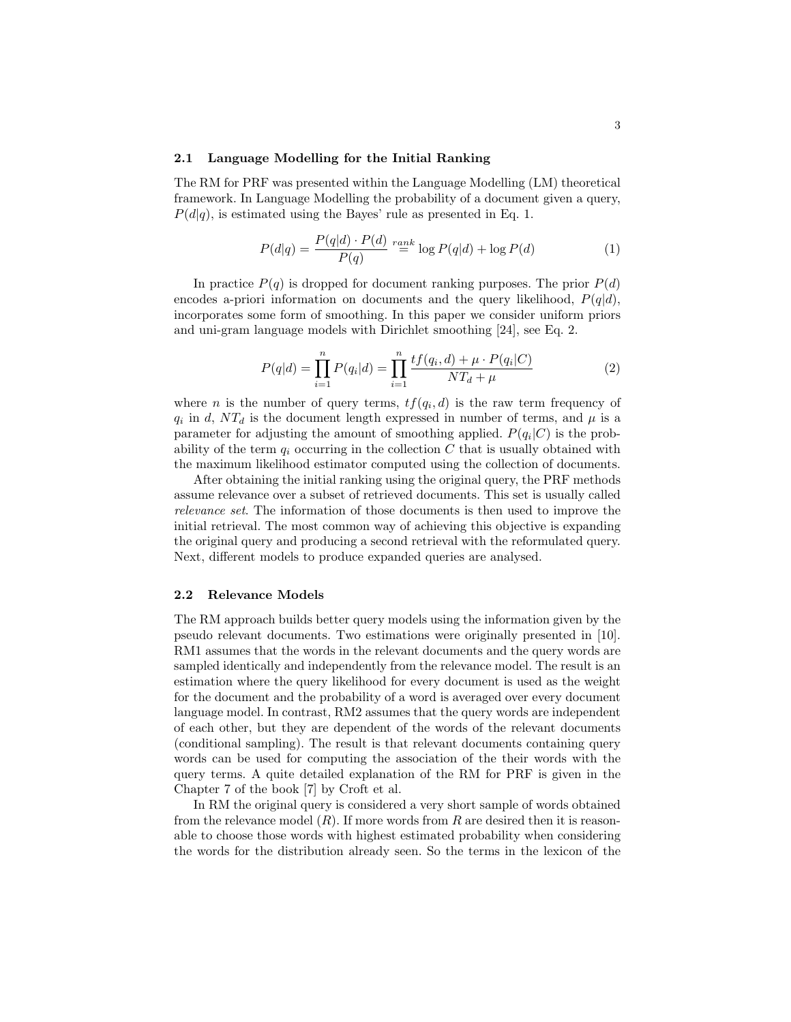### 2.1 Language Modelling for the Initial Ranking

The RM for PRF was presented within the Language Modelling (LM) theoretical framework. In Language Modelling the probability of a document given a query,  $P(d|q)$ , is estimated using the Bayes' rule as presented in Eq. 1.

$$
P(d|q) = \frac{P(q|d) \cdot P(d)}{P(q)} \stackrel{rank}{=} \log P(q|d) + \log P(d) \tag{1}
$$

In practice  $P(q)$  is dropped for document ranking purposes. The prior  $P(d)$ encodes a-priori information on documents and the query likelihood,  $P(q|d)$ , incorporates some form of smoothing. In this paper we consider uniform priors and uni-gram language models with Dirichlet smoothing [24], see Eq. 2.

$$
P(q|d) = \prod_{i=1}^{n} P(q_i|d) = \prod_{i=1}^{n} \frac{tf(q_i, d) + \mu \cdot P(q_i|C)}{NT_d + \mu}
$$
 (2)

where *n* is the number of query terms,  $tf(q_i, d)$  is the raw term frequency of  $q_i$  in d,  $NT_d$  is the document length expressed in number of terms, and  $\mu$  is a parameter for adjusting the amount of smoothing applied.  $P(q_i|C)$  is the probability of the term  $q_i$  occurring in the collection C that is usually obtained with the maximum likelihood estimator computed using the collection of documents.

After obtaining the initial ranking using the original query, the PRF methods assume relevance over a subset of retrieved documents. This set is usually called relevance set. The information of those documents is then used to improve the initial retrieval. The most common way of achieving this objective is expanding the original query and producing a second retrieval with the reformulated query. Next, different models to produce expanded queries are analysed.

### 2.2 Relevance Models

The RM approach builds better query models using the information given by the pseudo relevant documents. Two estimations were originally presented in [10]. RM1 assumes that the words in the relevant documents and the query words are sampled identically and independently from the relevance model. The result is an estimation where the query likelihood for every document is used as the weight for the document and the probability of a word is averaged over every document language model. In contrast, RM2 assumes that the query words are independent of each other, but they are dependent of the words of the relevant documents (conditional sampling). The result is that relevant documents containing query words can be used for computing the association of the their words with the query terms. A quite detailed explanation of the RM for PRF is given in the Chapter 7 of the book [7] by Croft et al.

In RM the original query is considered a very short sample of words obtained from the relevance model  $(R)$ . If more words from R are desired then it is reasonable to choose those words with highest estimated probability when considering the words for the distribution already seen. So the terms in the lexicon of the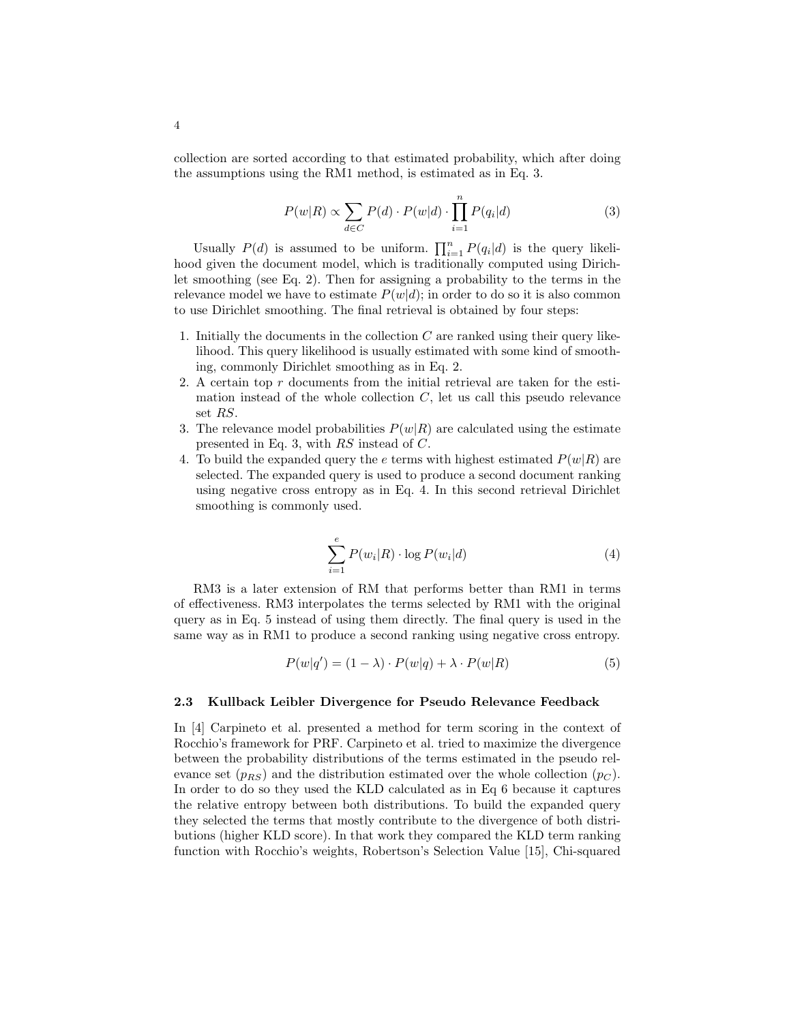collection are sorted according to that estimated probability, which after doing the assumptions using the RM1 method, is estimated as in Eq. 3.

$$
P(w|R) \propto \sum_{d \in C} P(d) \cdot P(w|d) \cdot \prod_{i=1}^{n} P(q_i|d)
$$
 (3)

Usually  $P(d)$  is assumed to be uniform.  $\prod_{i=1}^{n} P(q_i|d)$  is the query likelihood given the document model, which is traditionally computed using Dirichlet smoothing (see Eq. 2). Then for assigning a probability to the terms in the relevance model we have to estimate  $P(w|d)$ ; in order to do so it is also common to use Dirichlet smoothing. The final retrieval is obtained by four steps:

- 1. Initially the documents in the collection  $C$  are ranked using their query likelihood. This query likelihood is usually estimated with some kind of smoothing, commonly Dirichlet smoothing as in Eq. 2.
- 2. A certain top  $r$  documents from the initial retrieval are taken for the estimation instead of the whole collection  $C$ , let us call this pseudo relevance set RS.
- 3. The relevance model probabilities  $P(w|R)$  are calculated using the estimate presented in Eq. 3, with RS instead of C.
- 4. To build the expanded query the e terms with highest estimated  $P(w|R)$  are selected. The expanded query is used to produce a second document ranking using negative cross entropy as in Eq. 4. In this second retrieval Dirichlet smoothing is commonly used.

$$
\sum_{i=1}^{e} P(w_i|R) \cdot \log P(w_i|d) \tag{4}
$$

RM3 is a later extension of RM that performs better than RM1 in terms of effectiveness. RM3 interpolates the terms selected by RM1 with the original query as in Eq. 5 instead of using them directly. The final query is used in the same way as in RM1 to produce a second ranking using negative cross entropy.

$$
P(w|q') = (1 - \lambda) \cdot P(w|q) + \lambda \cdot P(w|R)
$$
\n(5)

### 2.3 Kullback Leibler Divergence for Pseudo Relevance Feedback

In [4] Carpineto et al. presented a method for term scoring in the context of Rocchio's framework for PRF. Carpineto et al. tried to maximize the divergence between the probability distributions of the terms estimated in the pseudo relevance set  $(p_{RS})$  and the distribution estimated over the whole collection  $(p_C)$ . In order to do so they used the KLD calculated as in Eq 6 because it captures the relative entropy between both distributions. To build the expanded query they selected the terms that mostly contribute to the divergence of both distributions (higher KLD score). In that work they compared the KLD term ranking function with Rocchio's weights, Robertson's Selection Value [15], Chi-squared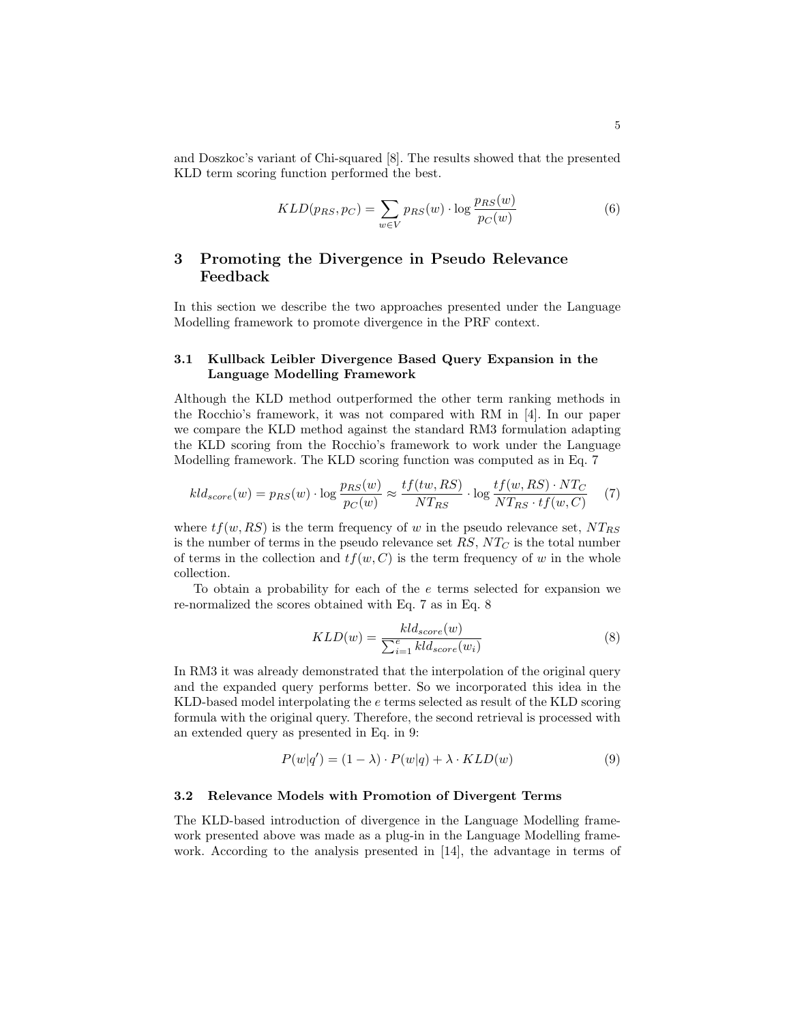and Doszkoc's variant of Chi-squared [8]. The results showed that the presented KLD term scoring function performed the best.

$$
KLD(p_{RS}, p_C) = \sum_{w \in V} p_{RS}(w) \cdot \log \frac{p_{RS}(w)}{p_C(w)}
$$
(6)

# 3 Promoting the Divergence in Pseudo Relevance Feedback

In this section we describe the two approaches presented under the Language Modelling framework to promote divergence in the PRF context.

## 3.1 Kullback Leibler Divergence Based Query Expansion in the Language Modelling Framework

Although the KLD method outperformed the other term ranking methods in the Rocchio's framework, it was not compared with RM in [4]. In our paper we compare the KLD method against the standard RM3 formulation adapting the KLD scoring from the Rocchio's framework to work under the Language Modelling framework. The KLD scoring function was computed as in Eq. 7

$$
kld_{score}(w) = p_{RS}(w) \cdot \log \frac{p_{RS}(w)}{p_C(w)} \approx \frac{tf(tw, RS)}{NT_{RS}} \cdot \log \frac{tf(w, RS) \cdot NT_C}{NT_{RS} \cdot tf(w, C)} \tag{7}
$$

where  $tf(w, RS)$  is the term frequency of w in the pseudo relevance set,  $NT_{RS}$ is the number of terms in the pseudo relevance set  $RS, NT_C$  is the total number of terms in the collection and  $tf(w, C)$  is the term frequency of w in the whole collection.

To obtain a probability for each of the e terms selected for expansion we re-normalized the scores obtained with Eq. 7 as in Eq. 8

$$
KLD(w) = \frac{kld_{score}(w)}{\sum_{i=1}^{e} kld_{score}(w_i)}
$$
(8)

In RM3 it was already demonstrated that the interpolation of the original query and the expanded query performs better. So we incorporated this idea in the KLD-based model interpolating the e terms selected as result of the KLD scoring formula with the original query. Therefore, the second retrieval is processed with an extended query as presented in Eq. in 9:

$$
P(w|q') = (1 - \lambda) \cdot P(w|q) + \lambda \cdot KLD(w)
$$
\n(9)

#### 3.2 Relevance Models with Promotion of Divergent Terms

The KLD-based introduction of divergence in the Language Modelling framework presented above was made as a plug-in in the Language Modelling framework. According to the analysis presented in [14], the advantage in terms of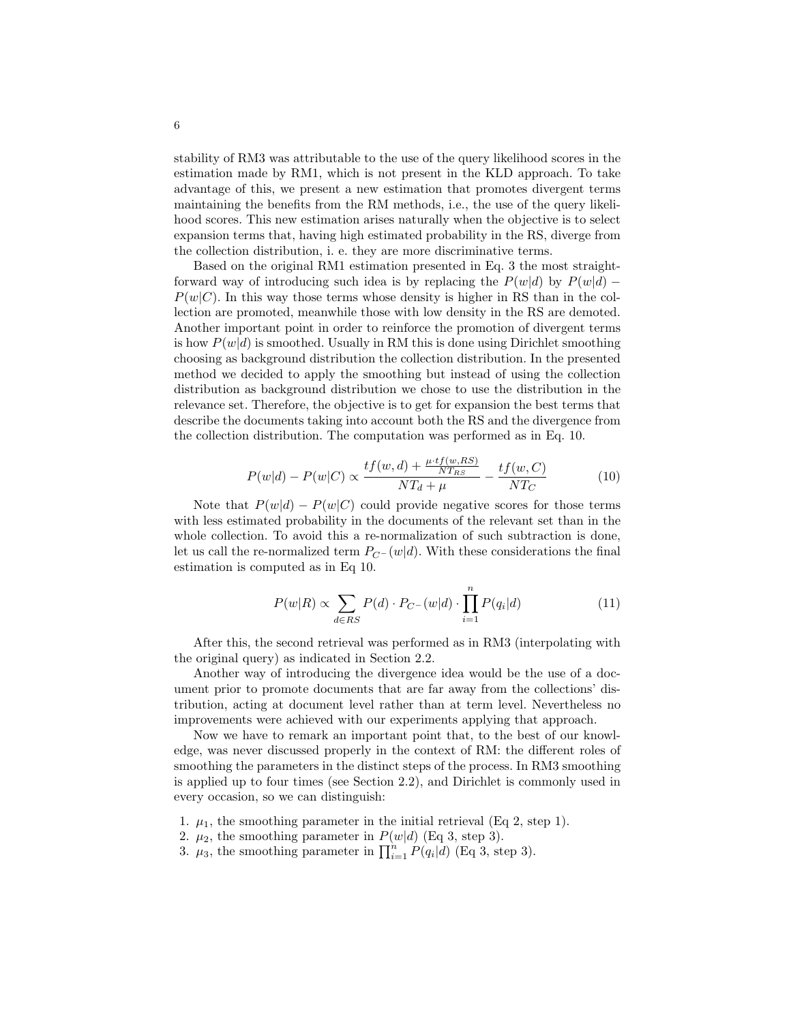stability of RM3 was attributable to the use of the query likelihood scores in the estimation made by RM1, which is not present in the KLD approach. To take advantage of this, we present a new estimation that promotes divergent terms maintaining the benefits from the RM methods, i.e., the use of the query likelihood scores. This new estimation arises naturally when the objective is to select expansion terms that, having high estimated probability in the RS, diverge from the collection distribution, i. e. they are more discriminative terms.

Based on the original RM1 estimation presented in Eq. 3 the most straightforward way of introducing such idea is by replacing the  $P(w|d)$  by  $P(w|d)$  –  $P(w|C)$ . In this way those terms whose density is higher in RS than in the collection are promoted, meanwhile those with low density in the RS are demoted. Another important point in order to reinforce the promotion of divergent terms is how  $P(w|d)$  is smoothed. Usually in RM this is done using Dirichlet smoothing choosing as background distribution the collection distribution. In the presented method we decided to apply the smoothing but instead of using the collection distribution as background distribution we chose to use the distribution in the relevance set. Therefore, the objective is to get for expansion the best terms that describe the documents taking into account both the RS and the divergence from the collection distribution. The computation was performed as in Eq. 10.

$$
P(w|d) - P(w|C) \propto \frac{tf(w,d) + \frac{\mu \cdot tf(w,RS)}{NT_{RS}}}{NT_d + \mu} - \frac{tf(w,C)}{NT_C}
$$
(10)

Note that  $P(w|d) - P(w|C)$  could provide negative scores for those terms with less estimated probability in the documents of the relevant set than in the whole collection. To avoid this a re-normalization of such subtraction is done, let us call the re-normalized term  $P_{C}$ − (w|d). With these considerations the final estimation is computed as in Eq 10.

$$
P(w|R) \propto \sum_{d \in RS} P(d) \cdot P_{C^{-}}(w|d) \cdot \prod_{i=1}^{n} P(q_i|d)
$$
 (11)

After this, the second retrieval was performed as in RM3 (interpolating with the original query) as indicated in Section 2.2.

Another way of introducing the divergence idea would be the use of a document prior to promote documents that are far away from the collections' distribution, acting at document level rather than at term level. Nevertheless no improvements were achieved with our experiments applying that approach.

Now we have to remark an important point that, to the best of our knowledge, was never discussed properly in the context of RM: the different roles of smoothing the parameters in the distinct steps of the process. In RM3 smoothing is applied up to four times (see Section 2.2), and Dirichlet is commonly used in every occasion, so we can distinguish:

- 1.  $\mu_1$ , the smoothing parameter in the initial retrieval (Eq 2, step 1).
- 2.  $\mu_2$ , the smoothing parameter in  $P(w|d)$  (Eq 3, step 3).
- 3.  $\mu_3$ , the smoothing parameter in  $\prod_{i=1}^n P(q_i|d)$  (Eq 3, step 3).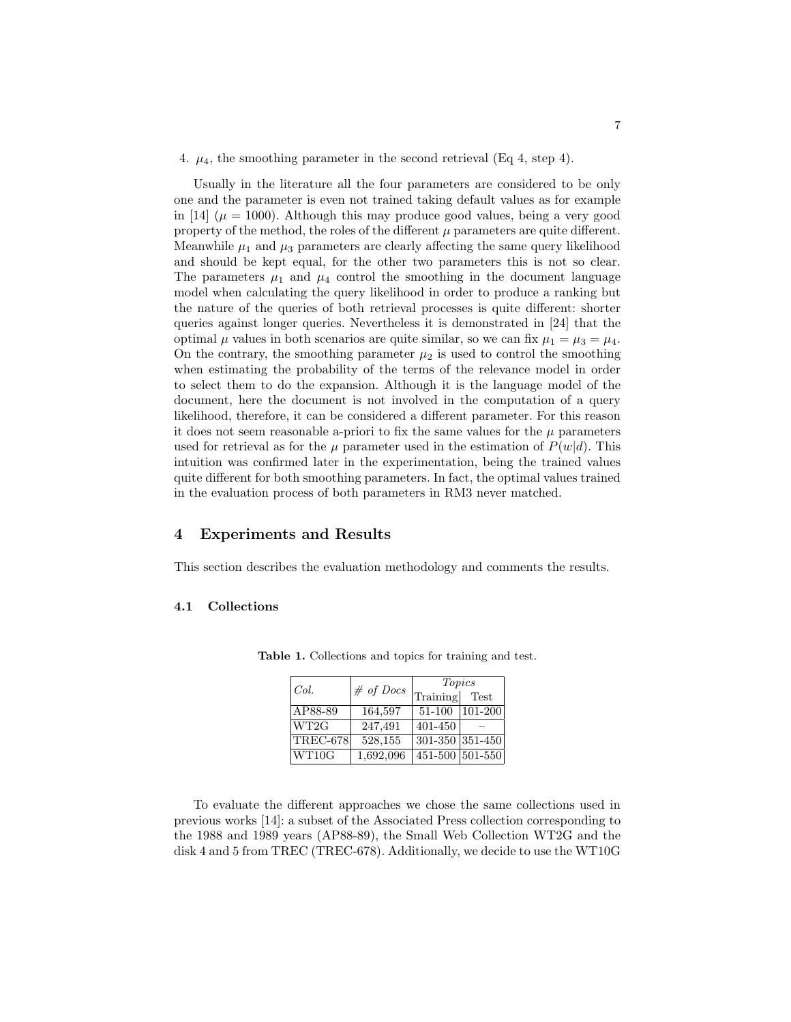#### 4.  $\mu_4$ , the smoothing parameter in the second retrieval (Eq 4, step 4).

Usually in the literature all the four parameters are considered to be only one and the parameter is even not trained taking default values as for example in [14] ( $\mu = 1000$ ). Although this may produce good values, being a very good property of the method, the roles of the different  $\mu$  parameters are quite different. Meanwhile  $\mu_1$  and  $\mu_3$  parameters are clearly affecting the same query likelihood and should be kept equal, for the other two parameters this is not so clear. The parameters  $\mu_1$  and  $\mu_4$  control the smoothing in the document language model when calculating the query likelihood in order to produce a ranking but the nature of the queries of both retrieval processes is quite different: shorter queries against longer queries. Nevertheless it is demonstrated in [24] that the optimal  $\mu$  values in both scenarios are quite similar, so we can fix  $\mu_1 = \mu_3 = \mu_4$ . On the contrary, the smoothing parameter  $\mu_2$  is used to control the smoothing when estimating the probability of the terms of the relevance model in order to select them to do the expansion. Although it is the language model of the document, here the document is not involved in the computation of a query likelihood, therefore, it can be considered a different parameter. For this reason it does not seem reasonable a-priori to fix the same values for the  $\mu$  parameters used for retrieval as for the  $\mu$  parameter used in the estimation of  $P(w|d)$ . This intuition was confirmed later in the experimentation, being the trained values quite different for both smoothing parameters. In fact, the optimal values trained in the evaluation process of both parameters in RM3 never matched.

## 4 Experiments and Results

This section describes the evaluation methodology and comments the results.

### 4.1 Collections

| Col.                             | $# of$ Docs | Topics          |           |
|----------------------------------|-------------|-----------------|-----------|
|                                  |             | Training Test   |           |
| AP88-89                          | 164,597     | 51-100          | $101-200$ |
| WT2G                             | 247,491     | 401-450         |           |
| $ {\rm TREC}\text{-}678 $        | 528,155     | 301-350 351-450 |           |
| $\overline{\text{WT}}10\text{G}$ | 1,692,096   | 451-500 501-550 |           |

Table 1. Collections and topics for training and test.

To evaluate the different approaches we chose the same collections used in previous works [14]: a subset of the Associated Press collection corresponding to the 1988 and 1989 years (AP88-89), the Small Web Collection WT2G and the disk 4 and 5 from TREC (TREC-678). Additionally, we decide to use the WT10G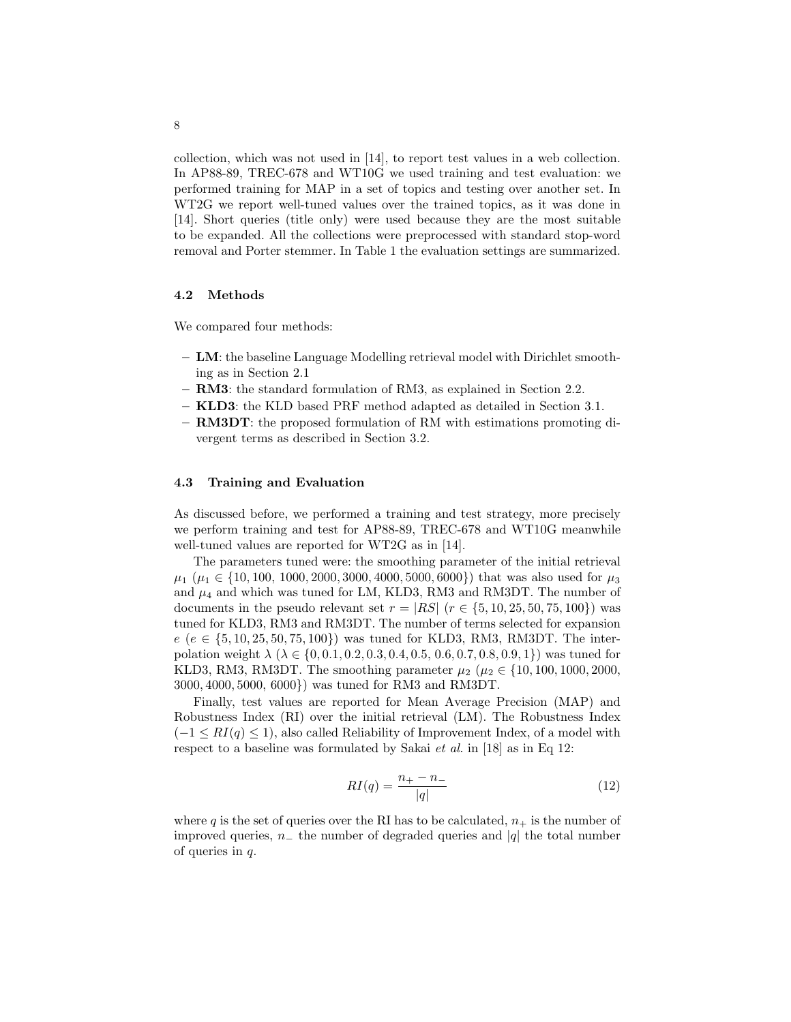collection, which was not used in [14], to report test values in a web collection. In AP88-89, TREC-678 and WT10G we used training and test evaluation: we performed training for MAP in a set of topics and testing over another set. In WT2G we report well-tuned values over the trained topics, as it was done in [14]. Short queries (title only) were used because they are the most suitable to be expanded. All the collections were preprocessed with standard stop-word removal and Porter stemmer. In Table 1 the evaluation settings are summarized.

### 4.2 Methods

We compared four methods:

- LM: the baseline Language Modelling retrieval model with Dirichlet smoothing as in Section 2.1
- RM3: the standard formulation of RM3, as explained in Section 2.2.
- KLD3: the KLD based PRF method adapted as detailed in Section 3.1.
- RM3DT: the proposed formulation of RM with estimations promoting divergent terms as described in Section 3.2.

### 4.3 Training and Evaluation

As discussed before, we performed a training and test strategy, more precisely we perform training and test for AP88-89, TREC-678 and WT10G meanwhile well-tuned values are reported for WT2G as in [14].

The parameters tuned were: the smoothing parameter of the initial retrieval  $\mu_1$  ( $\mu_1 \in \{10, 100, 1000, 2000, 3000, 4000, 5000, 6000\}$ ) that was also used for  $\mu_3$ and  $\mu_4$  and which was tuned for LM, KLD3, RM3 and RM3DT. The number of documents in the pseudo relevant set  $r = |RS|$   $(r \in \{5, 10, 25, 50, 75, 100\})$  was tuned for KLD3, RM3 and RM3DT. The number of terms selected for expansion  $e (e \in \{5, 10, 25, 50, 75, 100\})$  was tuned for KLD3, RM3, RM3DT. The interpolation weight  $\lambda \ (\lambda \in \{0, 0.1, 0.2, 0.3, 0.4, 0.5, 0.6, 0.7, 0.8, 0.9, 1\})$  was tuned for KLD3, RM3, RM3DT. The smoothing parameter  $\mu_2$  ( $\mu_2 \in \{10, 100, 1000, 2000,$ 3000, 4000, 5000, 6000}) was tuned for RM3 and RM3DT.

Finally, test values are reported for Mean Average Precision (MAP) and Robustness Index (RI) over the initial retrieval (LM). The Robustness Index  $(-1 \leq RI(q) \leq 1)$ , also called Reliability of Improvement Index, of a model with respect to a baseline was formulated by Sakai *et al.* in [18] as in Eq 12:

$$
RI(q) = \frac{n_+ - n_-}{|q|} \tag{12}
$$

where q is the set of queries over the RI has to be calculated,  $n_+$  is the number of improved queries,  $n_+$  the number of degraded queries and |q| the total number of queries in  $q$ .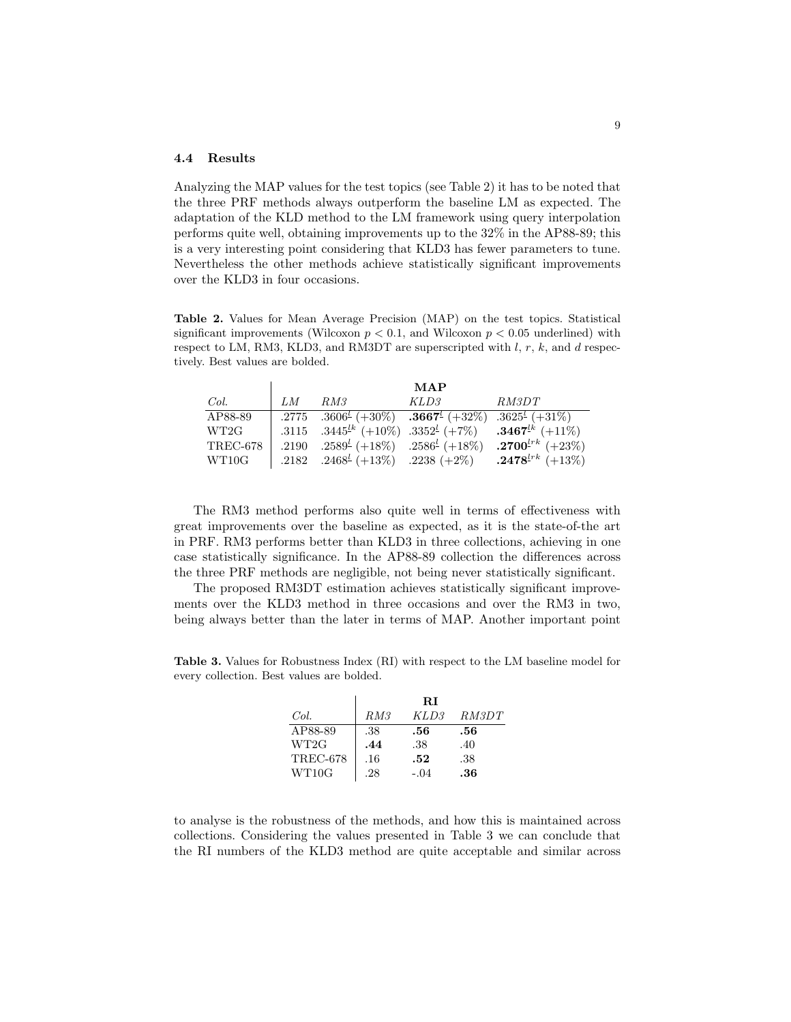### 4.4 Results

Analyzing the MAP values for the test topics (see Table 2) it has to be noted that the three PRF methods always outperform the baseline LM as expected. The adaptation of the KLD method to the LM framework using query interpolation performs quite well, obtaining improvements up to the 32% in the AP88-89; this is a very interesting point considering that KLD3 has fewer parameters to tune. Nevertheless the other methods achieve statistically significant improvements over the KLD3 in four occasions.

Table 2. Values for Mean Average Precision (MAP) on the test topics. Statistical significant improvements (Wilcoxon  $p < 0.1$ , and Wilcoxon  $p < 0.05$  underlined) with respect to LM, RM3, KLD3, and RM3DT are superscripted with  $l, r, k$ , and  $d$  respectively. Best values are bolded.

|          | MAP |                                                                                                                                     |      |                                                                                          |  |
|----------|-----|-------------------------------------------------------------------------------------------------------------------------------------|------|------------------------------------------------------------------------------------------|--|
| Col.     | LM  | RM3                                                                                                                                 | KLD3 | RM3DT                                                                                    |  |
| AP88-89  |     | .2775 .3606 <sup><math>\ell</math></sup> (+30%) .3667 <sup><math>\ell</math></sup> (+32%) .3625 <sup><math>\ell</math></sup> (+31%) |      |                                                                                          |  |
| WT2G     |     |                                                                                                                                     |      | .3115 .3445 <sup>Lk</sup> (+10\%) .3352 <sup>L</sup> (+7\%) .3467 <sup>Lk</sup> (+11\%)  |  |
| TREC-678 |     |                                                                                                                                     |      | .2190 .2589 <sup>L</sup> (+18\%) .2586 <sup>L</sup> (+18\%) .2700 <sup>L*k</sup> (+23\%) |  |
| WT10G    |     |                                                                                                                                     |      | .2182 .2468 <sup>L</sup> (+13\%) .2238 (+2\%) .2478 <sup>Lrk</sup> (+13\%)               |  |

The RM3 method performs also quite well in terms of effectiveness with great improvements over the baseline as expected, as it is the state-of-the art in PRF. RM3 performs better than KLD3 in three collections, achieving in one case statistically significance. In the AP88-89 collection the differences across the three PRF methods are negligible, not being never statistically significant.

The proposed RM3DT estimation achieves statistically significant improvements over the KLD3 method in three occasions and over the RM3 in two, being always better than the later in terms of MAP. Another important point

Table 3. Values for Robustness Index (RI) with respect to the LM baseline model for every collection. Best values are bolded.

|                 |     | $\mathbf{R}$ |              |
|-----------------|-----|--------------|--------------|
| Col.            | RM3 | KLD3         | <i>RM3DT</i> |
| AP88-89         | .38 | .56          | .56          |
| WT2G            | .44 | .38          | .40          |
| <b>TREC-678</b> | .16 | .52          | .38          |
| WT10G           | .28 | $-.04$       | .36          |

to analyse is the robustness of the methods, and how this is maintained across collections. Considering the values presented in Table 3 we can conclude that the RI numbers of the KLD3 method are quite acceptable and similar across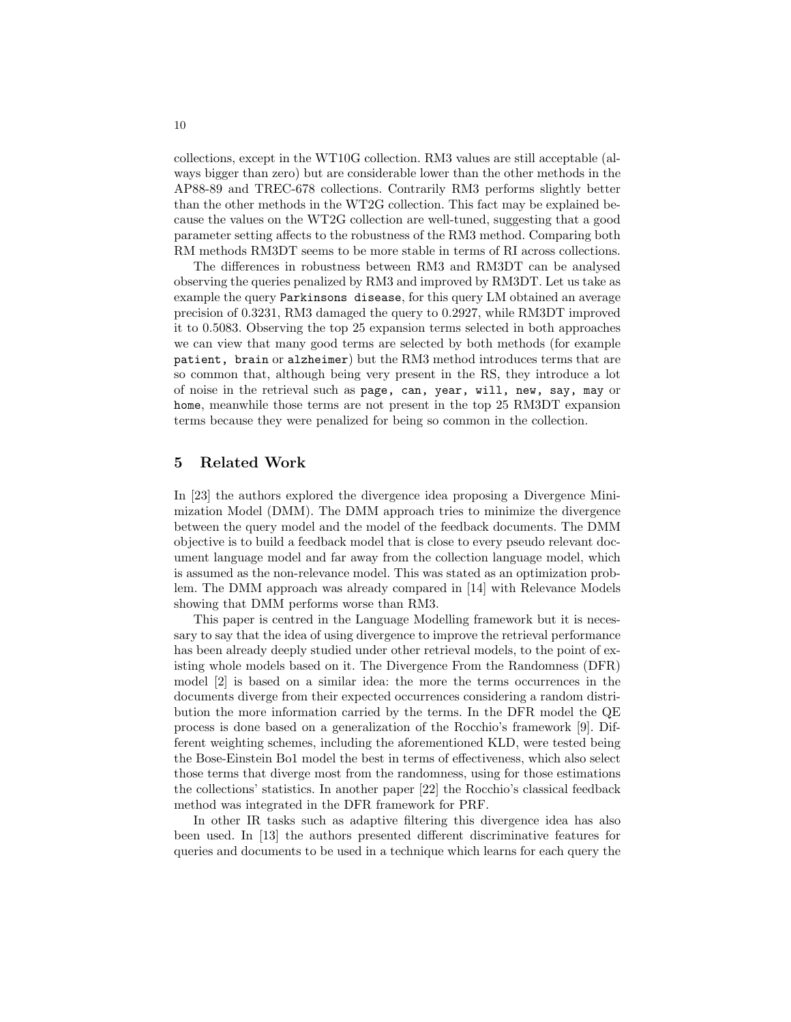collections, except in the WT10G collection. RM3 values are still acceptable (always bigger than zero) but are considerable lower than the other methods in the AP88-89 and TREC-678 collections. Contrarily RM3 performs slightly better than the other methods in the WT2G collection. This fact may be explained because the values on the WT2G collection are well-tuned, suggesting that a good parameter setting affects to the robustness of the RM3 method. Comparing both RM methods RM3DT seems to be more stable in terms of RI across collections.

The differences in robustness between RM3 and RM3DT can be analysed observing the queries penalized by RM3 and improved by RM3DT. Let us take as example the query Parkinsons disease, for this query LM obtained an average precision of 0.3231, RM3 damaged the query to 0.2927, while RM3DT improved it to 0.5083. Observing the top 25 expansion terms selected in both approaches we can view that many good terms are selected by both methods (for example patient, brain or alzheimer) but the RM3 method introduces terms that are so common that, although being very present in the RS, they introduce a lot of noise in the retrieval such as page, can, year, will, new, say, may or home, meanwhile those terms are not present in the top 25 RM3DT expansion terms because they were penalized for being so common in the collection.

# 5 Related Work

In [23] the authors explored the divergence idea proposing a Divergence Minimization Model (DMM). The DMM approach tries to minimize the divergence between the query model and the model of the feedback documents. The DMM objective is to build a feedback model that is close to every pseudo relevant document language model and far away from the collection language model, which is assumed as the non-relevance model. This was stated as an optimization problem. The DMM approach was already compared in [14] with Relevance Models showing that DMM performs worse than RM3.

This paper is centred in the Language Modelling framework but it is necessary to say that the idea of using divergence to improve the retrieval performance has been already deeply studied under other retrieval models, to the point of existing whole models based on it. The Divergence From the Randomness (DFR) model [2] is based on a similar idea: the more the terms occurrences in the documents diverge from their expected occurrences considering a random distribution the more information carried by the terms. In the DFR model the QE process is done based on a generalization of the Rocchio's framework [9]. Different weighting schemes, including the aforementioned KLD, were tested being the Bose-Einstein Bo1 model the best in terms of effectiveness, which also select those terms that diverge most from the randomness, using for those estimations the collections' statistics. In another paper [22] the Rocchio's classical feedback method was integrated in the DFR framework for PRF.

In other IR tasks such as adaptive filtering this divergence idea has also been used. In [13] the authors presented different discriminative features for queries and documents to be used in a technique which learns for each query the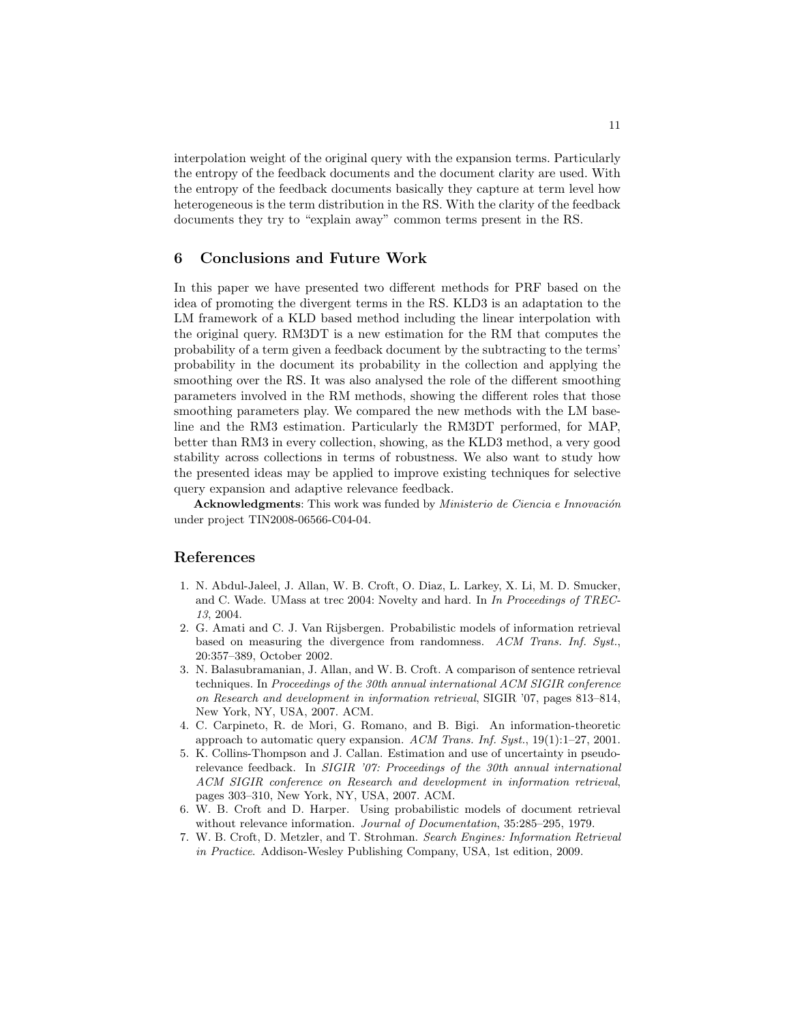interpolation weight of the original query with the expansion terms. Particularly the entropy of the feedback documents and the document clarity are used. With the entropy of the feedback documents basically they capture at term level how heterogeneous is the term distribution in the RS. With the clarity of the feedback documents they try to "explain away" common terms present in the RS.

# 6 Conclusions and Future Work

In this paper we have presented two different methods for PRF based on the idea of promoting the divergent terms in the RS. KLD3 is an adaptation to the LM framework of a KLD based method including the linear interpolation with the original query. RM3DT is a new estimation for the RM that computes the probability of a term given a feedback document by the subtracting to the terms' probability in the document its probability in the collection and applying the smoothing over the RS. It was also analysed the role of the different smoothing parameters involved in the RM methods, showing the different roles that those smoothing parameters play. We compared the new methods with the LM baseline and the RM3 estimation. Particularly the RM3DT performed, for MAP, better than RM3 in every collection, showing, as the KLD3 method, a very good stability across collections in terms of robustness. We also want to study how the presented ideas may be applied to improve existing techniques for selective query expansion and adaptive relevance feedback.

Acknowledgments: This work was funded by *Ministerio de Ciencia e Innovación* under project TIN2008-06566-C04-04.

# References

- 1. N. Abdul-Jaleel, J. Allan, W. B. Croft, O. Diaz, L. Larkey, X. Li, M. D. Smucker, and C. Wade. UMass at trec 2004: Novelty and hard. In In Proceedings of TREC-13, 2004.
- 2. G. Amati and C. J. Van Rijsbergen. Probabilistic models of information retrieval based on measuring the divergence from randomness. ACM Trans. Inf. Syst., 20:357–389, October 2002.
- 3. N. Balasubramanian, J. Allan, and W. B. Croft. A comparison of sentence retrieval techniques. In Proceedings of the 30th annual international ACM SIGIR conference on Research and development in information retrieval, SIGIR '07, pages 813–814, New York, NY, USA, 2007. ACM.
- 4. C. Carpineto, R. de Mori, G. Romano, and B. Bigi. An information-theoretic approach to automatic query expansion.  $ACM$  Trans. Inf. Syst., 19(1):1–27, 2001.
- 5. K. Collins-Thompson and J. Callan. Estimation and use of uncertainty in pseudorelevance feedback. In SIGIR '07: Proceedings of the 30th annual international ACM SIGIR conference on Research and development in information retrieval, pages 303–310, New York, NY, USA, 2007. ACM.
- 6. W. B. Croft and D. Harper. Using probabilistic models of document retrieval without relevance information. Journal of Documentation, 35:285-295, 1979.
- 7. W. B. Croft, D. Metzler, and T. Strohman. Search Engines: Information Retrieval in Practice. Addison-Wesley Publishing Company, USA, 1st edition, 2009.